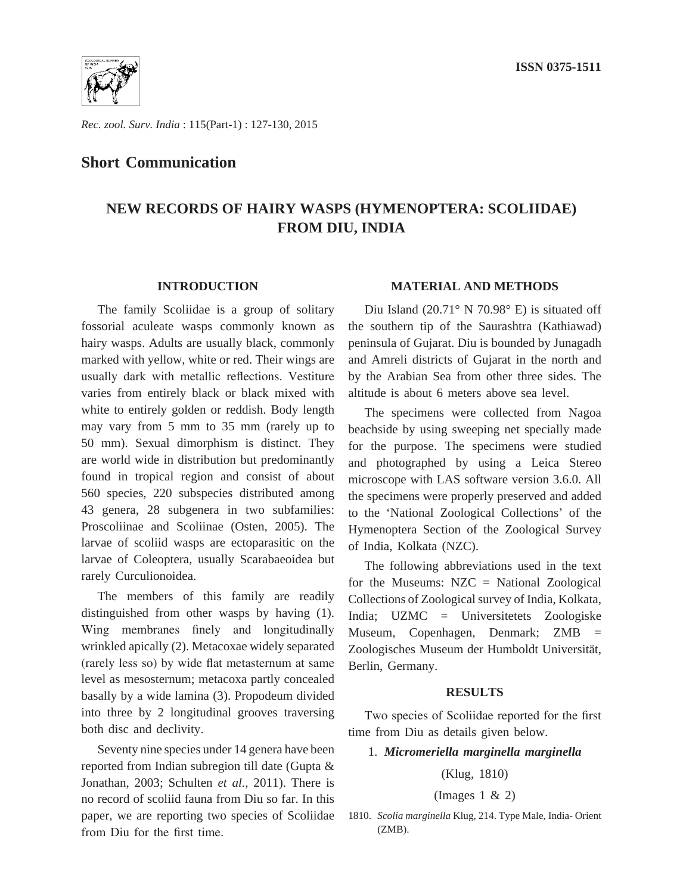

*Rec. zool. Surv. India* : 115(Part-1) : 127-130, 2015

## **Short Communication**

# **NEW RECORDS OF HAIRY WASPS (HYMENOPTERA: SCOLIIDAE) FROM DIU, INDIA**

### **INTRODUCTION**

The family Scoliidae is a group of solitary fossorial aculeate wasps commonly known as hairy wasps. Adults are usually black, commonly marked with yellow, white or red. Their wings are usually dark with metallic reflections. Vestiture varies from entirely black or black mixed with white to entirely golden or reddish. Body length may vary from 5 mm to 35 mm (rarely up to 50 mm). Sexual dimorphism is distinct. They are world wide in distribution but predominantly found in tropical region and consist of about 560 species, 220 subspecies distributed among 43 genera, 28 subgenera in two subfamilies: Proscoliinae and Scoliinae (Osten, 2005). The larvae of scoliid wasps are ectoparasitic on the larvae of Coleoptera, usually Scarabaeoidea but rarely Curculionoidea.

The members of this family are readily distinguished from other wasps by having (1). Wing membranes finely and longitudinally wrinkled apically (2). Metacoxae widely separated (rarely less so) by wide flat metasternum at same level as mesosternum; metacoxa partly concealed basally by a wide lamina (3). Propodeum divided into three by 2 longitudinal grooves traversing both disc and declivity.

Seventy nine species under 14 genera have been reported from Indian subregion till date (Gupta & Jonathan, 2003; Schulten *et al.,* 2011). There is no record of scoliid fauna from Diu so far. In this paper, we are reporting two species of Scoliidae from Diu for the first time.

### **MATERIAL AND METHODS**

Diu Island (20.71° N 70.98° E) is situated off the southern tip of the Saurashtra (Kathiawad) peninsula of Gujarat. Diu is bounded by Junagadh and Amreli districts of Gujarat in the north and by the Arabian Sea from other three sides. The altitude is about 6 meters above sea level.

The specimens were collected from Nagoa beachside by using sweeping net specially made for the purpose. The specimens were studied and photographed by using a Leica Stereo microscope with LAS software version 3.6.0. All the specimens were properly preserved and added to the 'National Zoological Collections' of the Hymenoptera Section of the Zoological Survey of India, Kolkata (NZC).

The following abbreviations used in the text for the Museums: NZC = National Zoological Collections of Zoological survey of India, Kolkata, India; UZMC = Universitetets Zoologiske Museum, Copenhagen, Denmark; ZMB = Zoologisches Museum der Humboldt Universität, Berlin, Germany.

#### **RESULTS**

Two species of Scoliidae reported for the first time from Diu as details given below.

### 1. *Micromeriella marginella marginella*

## (Klug, 1810)

#### (Images 1 & 2)

<sup>1810.</sup> *Scolia marginella* Klug, 214. Type Male, India- Orient (ZMB).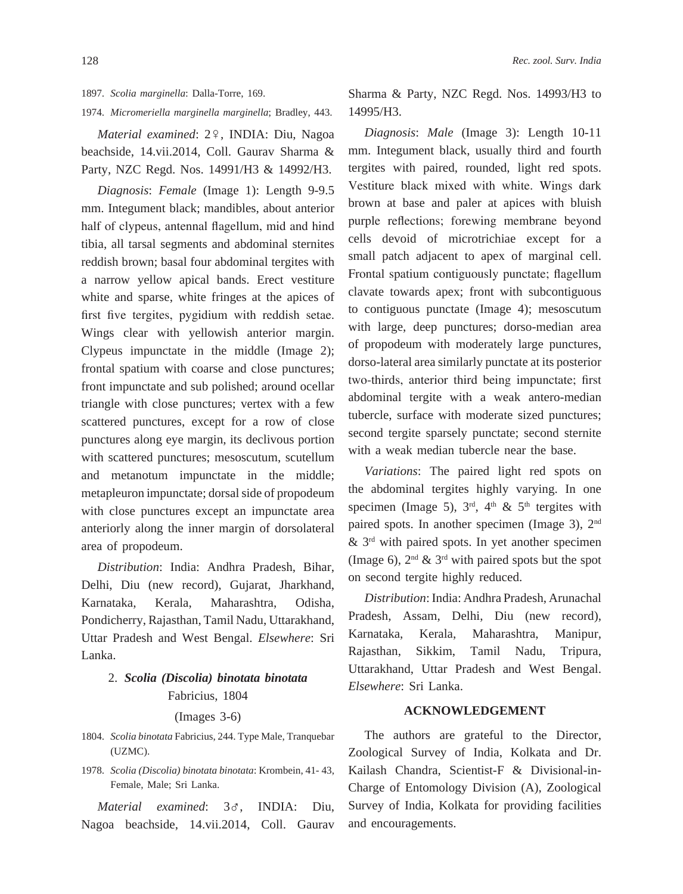1897. *Scolia marginella*: Dalla-Torre, 169.

1974. *Micromeriella marginella marginella*; Bradley, 443.

*Material examined*: 2º, INDIA: Diu, Nagoa beachside, 14.vii.2014, Coll. Gaurav Sharma & Party, NZC Regd. Nos. 14991/H3 & 14992/H3.

*Diagnosis*: *Female* (Image 1): Length 9-9.5 mm. Integument black; mandibles, about anterior half of clypeus, antennal flagellum, mid and hind tibia, all tarsal segments and abdominal sternites reddish brown; basal four abdominal tergites with a narrow yellow apical bands. Erect vestiture white and sparse, white fringes at the apices of first five tergites, pygidium with reddish setae. Wings clear with yellowish anterior margin. Clypeus impunctate in the middle (Image 2); frontal spatium with coarse and close punctures; front impunctate and sub polished; around ocellar triangle with close punctures; vertex with a few scattered punctures, except for a row of close punctures along eye margin, its declivous portion with scattered punctures; mesoscutum, scutellum and metanotum impunctate in the middle; metapleuron impunctate; dorsal side of propodeum with close punctures except an impunctate area anteriorly along the inner margin of dorsolateral area of propodeum.

*Distribution*: India: Andhra Pradesh, Bihar, Delhi, Diu (new record), Gujarat, Jharkhand, Karnataka, Kerala, Maharashtra, Odisha, Pondicherry, Rajasthan, Tamil Nadu, Uttarakhand, Uttar Pradesh and West Bengal. *Elsewhere*: Sri Lanka.

## 2. *Scolia (Discolia) binotata binotata*  Fabricius, 1804

#### (Images 3-6)

- 1804. *Scolia binotata* Fabricius, 244. Type Male, Tranquebar (UZMC).
- 1978. *Scolia (Discolia) binotata binotata*: Krombein, 41- 43, Female, Male; Sri Lanka.

*Material examined*: 3G, INDIA: Diu, Nagoa beachside, 14.vii.2014, Coll. Gaurav

Sharma & Party, NZC Regd. Nos. 14993/H3 to 14995/H3.

*Diagnosis*: *Male* (Image 3): Length 10-11 mm. Integument black, usually third and fourth tergites with paired, rounded, light red spots. Vestiture black mixed with white. Wings dark brown at base and paler at apices with bluish purple reflections; forewing membrane beyond cells devoid of microtrichiae except for a small patch adjacent to apex of marginal cell. Frontal spatium contiguously punctate; flagellum clavate towards apex; front with subcontiguous to contiguous punctate (Image 4); mesoscutum with large, deep punctures; dorso-median area of propodeum with moderately large punctures, dorso-lateral area similarly punctate at its posterior two-thirds, anterior third being impunctate; first abdominal tergite with a weak antero-median tubercle, surface with moderate sized punctures; second tergite sparsely punctate; second sternite with a weak median tubercle near the base.

*Variations*: The paired light red spots on the abdominal tergites highly varying. In one specimen (Image 5),  $3<sup>rd</sup>$ ,  $4<sup>th</sup>$  &  $5<sup>th</sup>$  tergites with paired spots. In another specimen (Image 3), 2nd  $\&$  3<sup>rd</sup> with paired spots. In yet another specimen (Image 6),  $2<sup>nd</sup> \& 3<sup>rd</sup>$  with paired spots but the spot on second tergite highly reduced.

*Distribution*: India: Andhra Pradesh, Arunachal Pradesh, Assam, Delhi, Diu (new record), Karnataka, Kerala, Maharashtra, Manipur, Rajasthan, Sikkim, Tamil Nadu, Tripura, Uttarakhand, Uttar Pradesh and West Bengal. *Elsewhere*: Sri Lanka.

## **ACKNOWLEDGEMENT**

The authors are grateful to the Director, Zoological Survey of India, Kolkata and Dr. Kailash Chandra, Scientist-F & Divisional-in-Charge of Entomology Division (A), Zoological Survey of India, Kolkata for providing facilities and encouragements.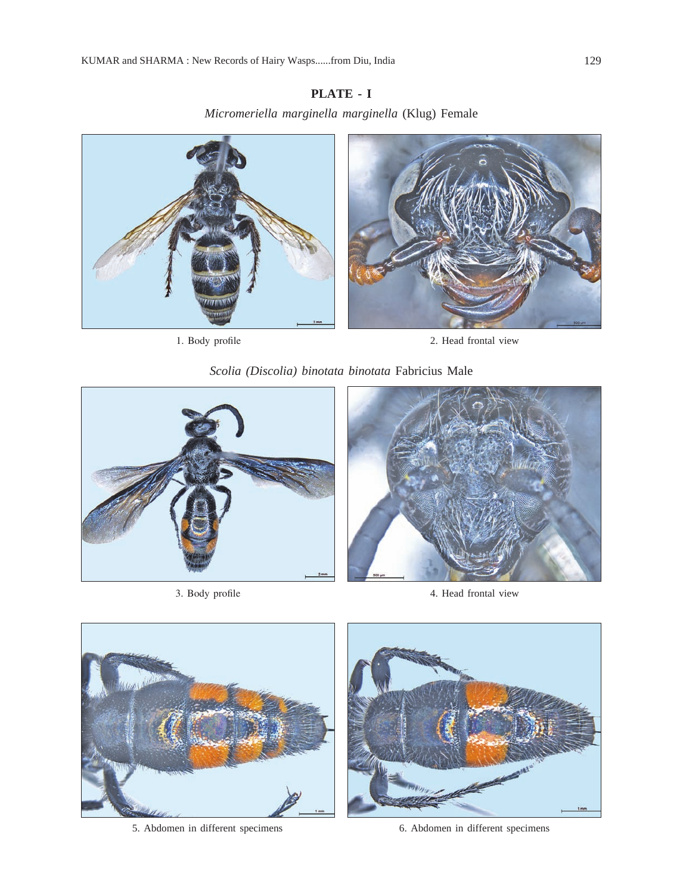## **PLATE - I**

*Micromeriella marginella marginella* (Klug) Female





1. Body profile 2. Head frontal view





3. Body profile



4. Head frontal view



5. Abdomen in different specimens 6. Abdomen in different specimens